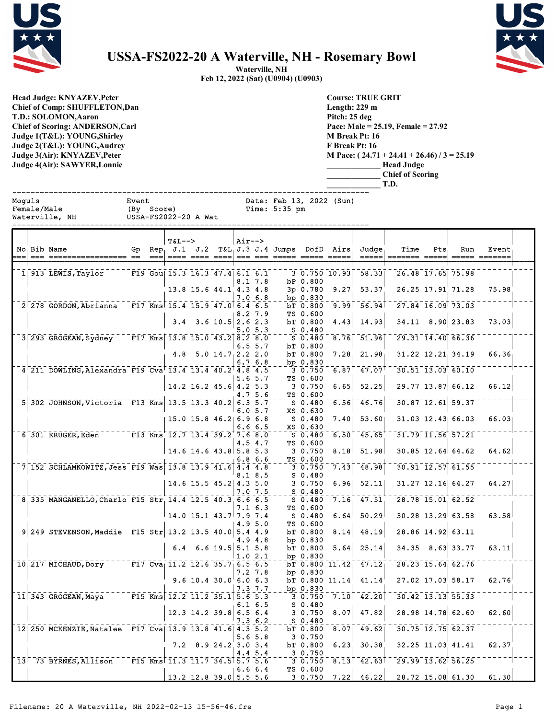



## **USSA-FS2022-20 A Waterville, NH - Rosemary Bowl**

**Waterville, NH Feb 12, 2022 (Sat) (U0904) (U0903)**

**Head Judge: KNYAZEV,Peter Chief of Comp: SHUFFLETON,Dan T.D.: SOLOMON,Aaron Chief of Scoring: ANDERSON,Carl Judge 1(T&L): YOUNG,Shirley Judge 2(T&L): YOUNG,Audrey Judge 3(Air): KNYAZEV,Peter Judge 4(Air): SAWYER,Lonnie** 

**Course: TRUE GRIT Length: 229 m Pitch: 25 deg Pace: Male = 25.19, Female = 27.92 M Break Pt: 16 F Break Pt: 16 M Pace: ( 24.71 + 24.41 + 26.46) / 3 = 25.19 \_\_\_\_\_\_\_\_\_\_\_\_\_ Head Judge \_\_\_\_\_\_\_\_\_\_\_\_\_ Chief of Scoring**

|        |                                                            |       |                            |                                    |                            |         |                       |                                                  |                                      |                          |                                                                     | T.D.              |                                                          |                                                          |       |  |
|--------|------------------------------------------------------------|-------|----------------------------|------------------------------------|----------------------------|---------|-----------------------|--------------------------------------------------|--------------------------------------|--------------------------|---------------------------------------------------------------------|-------------------|----------------------------------------------------------|----------------------------------------------------------|-------|--|
| Moquls | Female/Male<br>Waterville, NH                              | Event |                            | (By Score)<br>USSA-FS2022-20 A Wat |                            |         |                       | Time: 5:35 pm                                    |                                      | Date: Feb 13, 2022 (Sun) |                                                                     |                   |                                                          |                                                          |       |  |
|        | No Bib Name                                                |       | $=$ $=$ $=$ $\blacksquare$ | <b>T&amp;L--&gt;</b>               |                            | Air-->  |                       | <u> ==== ==== ====  === === ===== ===== ====</u> |                                      |                          | Gp Rep. J.1 J.2 $T\&L_1 J.3 J.4$ Jumps DofD Airs, Judge,<br>=====   | Time              | $Pts_1$                                                  | Run<br>===== ======                                      | Event |  |
|        | 1  913 LEWIS, Taylor F19 Gou 15.3 16.3 47.4 6.1 6.1        |       |                            |                                    |                            |         | 8.1 7.8               |                                                  | bP 0.800                             |                          | $3\overline{0.750}$ $10.93$ $58.33$                                 |                   | 26.48 17.65 75.98                                        |                                                          |       |  |
|        | 2 278 GORDON, Abrianna F17 Kms 15.4 15.9 47.0 6.4 6.5      |       |                            |                                    | 13.8 15.6 44.1 4.3 4.8     |         | 7.0 6.8               |                                                  | $3p$ 0.780<br>bp $0.830$<br>bT 0.800 | 9.99                     | $9.27$ 53.37<br>56.94                                               |                   | 26.25 17.91 71.28                                        | $\overline{27.84}$ $\overline{16.09}$ $\overline{73.03}$ | 75.98 |  |
|        |                                                            |       |                            |                                    | $3.4$ $3.6$ $10.5$ 2.6 2.3 |         | 8.2 7.9               |                                                  | TS 0.600<br>bT 0.800                 | 4.43                     | 14.93                                                               |                   |                                                          | $34.11$ $8.90$ 23.83                                     | 73.03 |  |
|        | 3 293 GROGEAN, Sydney F17 Kms 13.8 15.0 43.2 8.2 8.0       |       |                            |                                    |                            |         | 5.0 5.3<br>$6.5\,5.7$ |                                                  | $S_{0.480}$<br>$S$ 0.480<br>bT 0.800 |                          | $8.76$ 51.96                                                        |                   | $\overline{29.31}$ $\overline{14.40}$ $\overline{66.36}$ |                                                          |       |  |
|        |                                                            |       |                            |                                    | 4.8 5.0 14.7 2.2 2.0       |         | 6.76.8                |                                                  | bT 0.800<br>bp $0.830$               |                          | $7.28$ , $21.98$                                                    |                   |                                                          | $31.22$ $12.21$ , $34.19$                                | 66.36 |  |
|        | 4 211 DOWLING, Alexandra F19 Cva 13.4 13.4 40.2 4.8 4.5    |       |                            |                                    | $14.2$ 16.2 45.6 4.2 5.3   |         | $5.6\,5.7$            |                                                  | 3 0.750<br>TS 0.600<br>3 0.750       | 6.65                     | $6.87$ <sup><math>-47.07</math></sup><br>52.25                      |                   |                                                          | $30.51$ $13.03$ $60.10$<br>$29.77$ 13.87 66.12           | 66.12 |  |
|        | 5 302 JOHNSON, Victoria F13 Kms 13.5 13.3 40.2 6.3 5.7     |       |                            |                                    |                            |         | 4.7 5.6<br>6.05.7     |                                                  | TS 0.600<br>S 0.480<br>XS 0.630      |                          | $-6.56$ $-46.76$                                                    |                   |                                                          | $\overline{30.87}$ $\overline{12.61}$ $\overline{59.37}$ |       |  |
|        | 6 301 KRUGER, Eden Tris Kms 12.7 13.4 39.2 7.6 8.0         |       |                            |                                    | $15.0$ 15.8 46.2 6.9 6.8   |         | 6.66.5                |                                                  | S 0.480<br>XS 0.630                  |                          | 7.40  53.60                                                         |                   |                                                          | $31.03$ $12.43$ 66.03                                    | 66.03 |  |
|        |                                                            |       |                            |                                    | $14.6$ 14.6 43.8 5.8 5.3   |         | 4.5 4.7               |                                                  | S 0.480<br>TS 0.600<br>3 0.750       |                          | $6.50^{6}$ 45.65<br>$8.18$ 51.98                                    |                   |                                                          | $-31.79$ $11.56$ $57.21$<br>$30.85$ 12.64 64.62          | 64.62 |  |
|        | 7 152 SCHLAMKOWITZ, Jess F19 Was 13.8 13.9 41.6 4.4 4.8    |       |                            |                                    |                            |         | 6.8 6.6<br>8.1 8.5    |                                                  | TS 0.600<br>30.750<br>$S_0.480$      | 7.43                     | $-48.98$                                                            |                   | $30.91$ $12.57$ $61.55$                                  |                                                          |       |  |
|        |                                                            |       |                            |                                    | 14.6 15.5 45.2 4.3 5.0     |         | 7.0 7.5               |                                                  | 3 0.750<br>$S_0.480$                 | 6.96                     | 52.11                                                               |                   |                                                          | $31.27$ 12.16 64.27                                      | 64.27 |  |
|        | 8, 335 MANGANELLO, Charlo F15 Str, 14.4 12.5 40.3, 6.6 6.5 |       |                            |                                    | $14.0$ 15.1 $43.7$ 7.9 7.4 |         | 7.1 6.3               |                                                  | S 0.480<br>TS 0.600<br>S 0.480       | 6.64                     | $7.16$ 47.51<br>50.29                                               |                   | $\overline{28.78}$ 15.01, 62.52                          | $30.28$ 13.29 63.58                                      | 63.58 |  |
|        | 9 249 STEVENSON, Maddie F15 Str 13.2 13.5 40.0 5.4 4.9     |       |                            |                                    |                            |         | 4.9 5.0<br>4.9 4.8    |                                                  | TS 0.600<br>bT 0.800<br>bp $0.830$   |                          | $8.14$ 48.19                                                        |                   | $28.86$ 14.92 63.11                                      |                                                          |       |  |
|        |                                                            |       |                            |                                    | 6.4 6.6 19.5 5.1 5.8       |         | 1.02.1                |                                                  | bT 0.800<br>bp $0.830$               | 5.64                     | 25.14                                                               |                   |                                                          | $34.35$ $8.63$ 33.77                                     | 63.11 |  |
|        | 10 217 MICHAUD, Dory F17 Cva 11.2 12.6 35.7 6.5 6.5        |       |                            |                                    | 9.6 10.4 30.0 6.0 6.3      |         | 7.2 7.8               |                                                  | bp $0.830$                           |                          | bT 0.800 11.42 47.12<br>bT $0.800$ $11.14$ $41.14$                  |                   | $28.23$ 15.64 62.76                                      | 27.02 17.03 58.17                                        | 62.76 |  |
|        | $11$ 343 GROGEAN, Maya $12.2$ 11.2 35.1 5.6 5.3            |       |                            |                                    |                            | 7.3 7.7 |                       |                                                  | bp 0.830<br>$S_0.480$                |                          | $3 \t0.750 \t7.10 \t42.20$                                          |                   | $30.42$ 13.13 55.33                                      |                                                          |       |  |
|        |                                                            |       |                            |                                    | 12.3 14.2 39.8 6.5 6.4     |         | $6.1\,6.5$<br>7.36.2  |                                                  | 3 0.750<br>S 0.480                   | 8.07                     | 47.82                                                               |                   |                                                          | $28.98$ 14.78 62.60                                      | 62.60 |  |
|        | 12 250 MCKENZIE, Natalee F17 Cva 13.9 13.8 41.6 4.3 5.2    |       |                            |                                    | $7.2$ 8.9 24.2 3.0 3.4     |         | 5.65.8                |                                                  | 3 0.750<br>bT 0.800                  |                          | bT 0.800 8.07 49.62<br>$6.23$ 30.38                                 |                   | $30.75$ $12.75$ $62.37$<br>32.25 11.03 41.41             |                                                          | 62.37 |  |
|        | $13$ 73 BYRNES, Allison F15 Kms 11.3 11.7 34.5 5.7 5.6     |       |                            |                                    |                            |         | 4.45.4                |                                                  | 30.750                               |                          | $-3$ 0.750 $-8.13$ $-42.63$                                         |                   | $\overline{29.99}$ $\overline{13.62}$ $\overline{56.25}$ |                                                          |       |  |
|        |                                                            |       |                            | $13.2$ 12.8 39.0 5.5 5.6           |                            |         | $+6.66.4$             |                                                  | TS 0.600                             |                          | $3\;\; 0.750\quad 7.22\begin{array}{ c c c }\n 46.22\n \end{array}$ | 28.72 15.08 61.30 |                                                          |                                                          | 61.30 |  |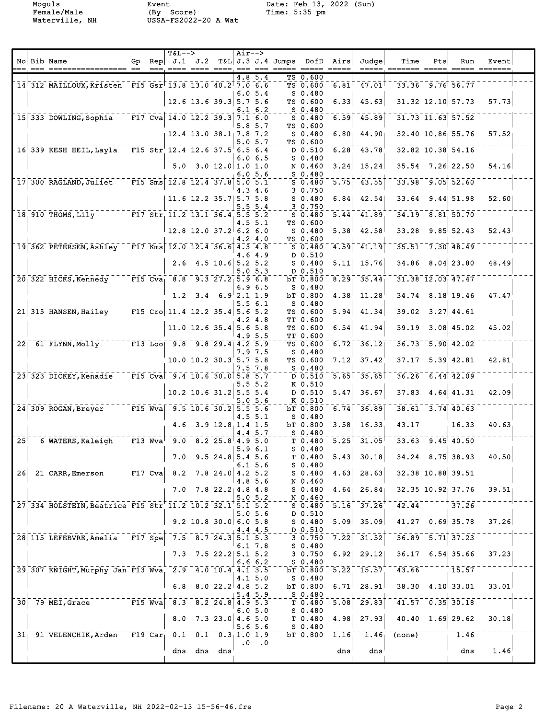Moguls Event Date: Feb 13, 2022 (Sun)<br>
Female/Male (By Score) Time: 5:35 pm<br>
Waterville, NH USSA-FS2022-20 A Wat Female/Male (By Score) Time: 5:35 pm Waterville, NH USSA-FS2022-20 A Wat

|    | No Bib Name                                                |  | <b>T&amp;L--&gt;</b>     |                                                                                       | $Air--$ |               |                                                                                                                                                                                                                                                                                                                                                                                                                                                                                                                                                            |                                 |                                             | Gp Rep $J.1$ J.2 T&L J.3 J.4 Jumps DofD Airs Judge | Time                                                     | Pts | Run                                 | Event  |  |
|----|------------------------------------------------------------|--|--------------------------|---------------------------------------------------------------------------------------|---------|---------------|------------------------------------------------------------------------------------------------------------------------------------------------------------------------------------------------------------------------------------------------------------------------------------------------------------------------------------------------------------------------------------------------------------------------------------------------------------------------------------------------------------------------------------------------------------|---------------------------------|---------------------------------------------|----------------------------------------------------|----------------------------------------------------------|-----|-------------------------------------|--------|--|
|    |                                                            |  | ---, ---- ---- ----, --- |                                                                                       |         | 4.8 5.4       | $\begin{tabular}{ll} \multicolumn{2}{l}{{\color{red}\boldsymbol{=}}} & \multicolumn{2}{l}{\color{blue}\boldsymbol{=}} & \multicolumn{2}{l}{\color{blue}\boldsymbol{=}} & \multicolumn{2}{l}{\color{blue}\boldsymbol{=}} & \multicolumn{2}{l}{\color{blue}\boldsymbol{=}} & \multicolumn{2}{l}{\color{blue}\boldsymbol{=}} & \multicolumn{2}{l}{\color{blue}\boldsymbol{=}} & \multicolumn{2}{l}{\color{blue}\boldsymbol{=}} & \multicolumn{2}{l}{\color{blue}\boldsymbol{=}} & \multicolumn{2}{l}{\color{blue}\boldsymbol{=}} & \multicolumn{2}{l}{\color$ | TS 0.600                        |                                             |                                                    | -----. ------- -----. ----- -----                        |     |                                     |        |  |
|    | 14 312 MAILLOUX, Kristen F15 Gsr 13.8 13.0 40.2 7.0 6.6    |  |                          |                                                                                       |         |               |                                                                                                                                                                                                                                                                                                                                                                                                                                                                                                                                                            | TS 0.600                        | $6.81$ <sup><math>\overline{)}</math></sup> | 47.01                                              |                                                          |     | $33.36$ $9.76$ $56.77$              |        |  |
|    |                                                            |  |                          | $12.6$ 13.6 39.3 5.7 5.6                                                              |         | 6.05.4        |                                                                                                                                                                                                                                                                                                                                                                                                                                                                                                                                                            | $S_0.480$<br>TS 0.600           | 6.33                                        | 45.63                                              |                                                          |     | $31.32$ 12.10 57.73                 | 57.73  |  |
|    | 15 333 DOWLING, Sophia F17 Cva 14.0 12.2 39.3 7.1 6.0      |  |                          |                                                                                       |         | 6.1 6.2       |                                                                                                                                                                                                                                                                                                                                                                                                                                                                                                                                                            | $S_{0.480}$<br>S 0.480          |                                             | $6.59$ $45.89$                                     |                                                          |     | $-31.73 - 11.63$ 57.52              |        |  |
|    |                                                            |  | $12.4$ 13.0 38.1 7.8 7.2 |                                                                                       |         | $5.8\,5.7$    |                                                                                                                                                                                                                                                                                                                                                                                                                                                                                                                                                            | TS 0.600<br>S <sub>0.480</sub>  |                                             | $6.80$ $44.90$                                     |                                                          |     | 32.40 10.86 55.76                   | 57.521 |  |
|    | 16 339 KESH HEIL, Layla F15 Str 12.4 12.6 37.5 6.5 6.4     |  |                          |                                                                                       |         | 5.05.7        |                                                                                                                                                                                                                                                                                                                                                                                                                                                                                                                                                            | TS 0.600                        |                                             | $D$ 0.510 6.28 43.78                               | $\overline{32.82}$ $\overline{10.38}$ $\overline{54.16}$ |     |                                     |        |  |
|    |                                                            |  |                          | $5.0 \quad 3.0 \quad 12.0 \quad 1.0 \quad 1.0$                                        |         | 6.06.5        |                                                                                                                                                                                                                                                                                                                                                                                                                                                                                                                                                            | $S_0.480$<br>N 0.460            | 3.24                                        | 15.24                                              |                                                          |     | $35.54$ $7.26$ 22.50                | 54.16  |  |
|    | 17 300 RAGLAND, Juliet F15 Sms 12.8 12.4 37.8 5.0 5.1      |  |                          |                                                                                       |         | 6.05.6        |                                                                                                                                                                                                                                                                                                                                                                                                                                                                                                                                                            | $S_0.480$<br>S 0.480            | $\overline{5.75}$                           | 43.55                                              |                                                          |     | $33.98 - 9.05$ $52.60$              |        |  |
|    |                                                            |  |                          | 11.6 12.2 35.7 5.7 5.8                                                                |         | 4.34.6        |                                                                                                                                                                                                                                                                                                                                                                                                                                                                                                                                                            | 3 0.750<br>S 0.480              | 6.84                                        | 42.54                                              |                                                          |     | $33.64$ 9.44 51.98                  | 52.60  |  |
|    | 18 910 THOMS, L11y FIT Str 11.2 13.1 36.4 5.5 5.2          |  |                          |                                                                                       |         | 5.55.4        |                                                                                                                                                                                                                                                                                                                                                                                                                                                                                                                                                            | 3 0.750<br>S 0.480              |                                             | 5.44 41.89                                         |                                                          |     | $34.19$ $8.81$ , $50.70$            |        |  |
|    |                                                            |  | $12.8$ 12.0 37.2 6.2 6.0 |                                                                                       |         | 4.5 5.1       |                                                                                                                                                                                                                                                                                                                                                                                                                                                                                                                                                            | TS 0.600<br>$S$ 0.480           | 5.38                                        | 42.58                                              |                                                          |     | $33.28$ $9.85$ $52.43$              | 52.43  |  |
|    | 19 362 PETERSEN, Ashley F17 Kms 12.0 12.4 36.6 4.3 4.8     |  |                          |                                                                                       |         | 4.2 4.0       |                                                                                                                                                                                                                                                                                                                                                                                                                                                                                                                                                            | TS 0.600<br>S <sub>0.480</sub>  | 4.59                                        | 41.19                                              |                                                          |     | $35.51 - 7.30$ 48.49                |        |  |
|    |                                                            |  |                          |                                                                                       |         | 4.64.9        |                                                                                                                                                                                                                                                                                                                                                                                                                                                                                                                                                            | D 0.510                         |                                             |                                                    |                                                          |     | $34.86$ $8.04$ 23.80                |        |  |
|    |                                                            |  |                          | $2.6$ 4.5 10.6 5.2 5.2                                                                |         | 5.0 5.3       |                                                                                                                                                                                                                                                                                                                                                                                                                                                                                                                                                            | S <sub>0.480</sub><br>D 0.510   | 5.11                                        | 15.76                                              |                                                          |     |                                     | 48.49  |  |
|    | 20 322 HICKS, Kennedy F15 Cva 8.8 9.3 27.2 5.9 6.8         |  |                          |                                                                                       |         | 6.96.5        |                                                                                                                                                                                                                                                                                                                                                                                                                                                                                                                                                            | bT 0.800<br>$S_0.480$           | 8.29                                        | 35.44                                              |                                                          |     | $31.38$ $12.03$ $47.47$             |        |  |
|    |                                                            |  |                          | $1.2$ $3.4$ $6.9$ $2.1$ $1.9$                                                         |         | 5.5 6.1       |                                                                                                                                                                                                                                                                                                                                                                                                                                                                                                                                                            | bT 0.800<br>$S_0.480$           | 4.38                                        | 11.28                                              |                                                          |     | $34.74$ $8.18$ 19.46                | 47.47  |  |
|    | 21 315 HANSEN, Hailey F15 Cro 11.4 12.2 35.4 5.6 5.2       |  |                          |                                                                                       |         | 4.2 4.8       |                                                                                                                                                                                                                                                                                                                                                                                                                                                                                                                                                            | TS 0.600<br>TT 0.600            |                                             | $\overline{5.94}$ $\overline{41.34}$               |                                                          |     | $-39.02 - 3.27$ 44.61               |        |  |
|    |                                                            |  |                          | 11.0 12.6 35.4 5.6 5.8                                                                |         | 4.9 5.5       |                                                                                                                                                                                                                                                                                                                                                                                                                                                                                                                                                            | TS 0.600<br>TT 0.600            | 6.54                                        | 41.94                                              |                                                          |     | $39.19$ $3.08$ $45.02$              | 45.02  |  |
|    | 22 61 FLYNN, Molly F13 Loo 9.8 9.8 29.4 4.2 5.9            |  |                          |                                                                                       |         | 7.9 7.5       |                                                                                                                                                                                                                                                                                                                                                                                                                                                                                                                                                            | TS 0.600<br>$S_0.480$           | 6.72                                        | $\sqrt{36.12}$                                     |                                                          |     | $36.73 - 5.90$ $42.02$              |        |  |
|    |                                                            |  |                          | $10.0$ 10.2 30.3 5.7 5.8                                                              |         | 7.57.8        |                                                                                                                                                                                                                                                                                                                                                                                                                                                                                                                                                            | TS 0.600<br>S 0.480             | 7.12                                        | 37.42                                              |                                                          |     | $37.17$ $5.39$ $42.81$              | 42.81  |  |
|    | 23 323 DICKEY, Kenadie F15 Cva 9.4 10.6 30.0 5.8 5.7       |  |                          |                                                                                       |         | $5.5\,5.2$    |                                                                                                                                                                                                                                                                                                                                                                                                                                                                                                                                                            | D 0.510<br>K 0.510              |                                             | $5.65$ 35.65                                       |                                                          |     | $-36.26 - 6.44$ $42.09$             |        |  |
|    |                                                            |  |                          | 10.2 10.6 31.2 5.5 5.4                                                                |         | 5.0 5.6       |                                                                                                                                                                                                                                                                                                                                                                                                                                                                                                                                                            | D 0.510<br>K 0.510              | 5.47                                        | 36.67                                              |                                                          |     | $37.83$ 4.64 41.31                  | 42.09  |  |
|    | 24 309 ROGAN, Breyer F15 Wva 9.5 10.6 30.2 5.5 5.6         |  |                          |                                                                                       |         | $4.5 \, 5.1$  |                                                                                                                                                                                                                                                                                                                                                                                                                                                                                                                                                            | bT 0.800<br>$S_0.480$           | 6.74                                        | 36.89                                              |                                                          |     | $38.61 - 3.74$ 40.63                |        |  |
|    |                                                            |  |                          | $4.6$ $3.9$ $12.8$ , $1.4$ $1.5$                                                      |         | 4.4 5.7       |                                                                                                                                                                                                                                                                                                                                                                                                                                                                                                                                                            | bT 0.800<br>S 0.480             | 3.58                                        | 16.33                                              | 43.17                                                    |     | 16.33                               | 40.63  |  |
|    | 25 6 WATERS, Kaleigh F13 Wva 9.0 8.2 25.8 4.9 5.0          |  |                          |                                                                                       |         |               |                                                                                                                                                                                                                                                                                                                                                                                                                                                                                                                                                            | T 0.480                         |                                             |                                                    | $-5.25$ $-31.05$ $-33.63$ $-9.45$ $40.50$                |     |                                     |        |  |
|    |                                                            |  |                          | $7.0$ 9.5 24.8 5.4 5.6                                                                |         | 5.96.1        |                                                                                                                                                                                                                                                                                                                                                                                                                                                                                                                                                            | $S_0.480$<br>I 0.480            |                                             | $5.43$ 30.18                                       |                                                          |     | $34.24$ 8.75 38.93                  | 40.50  |  |
|    | $26$ <sup>-21</sup> CARR, Emerson <sup>-----</sup> F17 Cva |  |                          | $8.2 - 7.8 - 24.0$ 4.2 5.2                                                            |         | 6.15.6        |                                                                                                                                                                                                                                                                                                                                                                                                                                                                                                                                                            | $S_0.480$<br>$S$ 0.480          |                                             | $4.63$ 28.63                                       |                                                          |     | $32.38$ $10.88$ $39.51$             |        |  |
|    |                                                            |  |                          | $7.0$ $7.8$ $22.2$ 4.8 4.8                                                            |         | 4.8 5.6       |                                                                                                                                                                                                                                                                                                                                                                                                                                                                                                                                                            | N 0.460<br>$S$ 0.480            |                                             | $4.64$ 26.84                                       |                                                          |     | 32.35 10.92 37.76                   | 39.51  |  |
|    | 27 334 HOLSTEIN, Beatrice F15 Str 11.2 10.2 32.1 5.1 5.2   |  |                          |                                                                                       |         | 5.05.2        |                                                                                                                                                                                                                                                                                                                                                                                                                                                                                                                                                            | N 0.460<br>S <sub>0.480</sub>   | 5.16                                        | $\overline{37.26}$                                 |                                                          |     | $-42.44$ $-1.726$                   |        |  |
|    |                                                            |  |                          | $9.2$ 10.8 30.0 6.0 5.8                                                               |         | 5.05.6        |                                                                                                                                                                                                                                                                                                                                                                                                                                                                                                                                                            | D 0.510<br>$S_0.480$            |                                             | $5.09$ 35.09                                       |                                                          |     | $41.27$ 0.69 35.78                  | 37.26  |  |
|    | 28 115 LEFEBVRE, Amelia F17 Spe                            |  |                          | $7.5 - 8.7 - 24.3$ 5.1 5.3                                                            |         | 4.4 4.5       |                                                                                                                                                                                                                                                                                                                                                                                                                                                                                                                                                            | D 0.510<br>3 0.750              | 7.22                                        | $\left[31.52\right]$                               |                                                          |     | $36.89 - 5.71$ $37.23$              |        |  |
|    |                                                            |  |                          | $7.3$ $7.5$ $22.2$ $5.1$ $5.2$                                                        |         | 6.1 7.8       |                                                                                                                                                                                                                                                                                                                                                                                                                                                                                                                                                            | $S$ 0.480<br>3 0.750            | 6.92                                        | 29.12                                              |                                                          |     | 36.17 6.54 35.66                    | 37.23  |  |
|    | 29 307 KNIGHT, Murphy Jan F13 Wva 2.9 4.0 10.4 4.1 3.5     |  |                          |                                                                                       |         | 6.66.2        |                                                                                                                                                                                                                                                                                                                                                                                                                                                                                                                                                            | $S_0.480$<br>bT 0.800           |                                             | $\overline{5.22}$ $\overline{15.57}$               | 43.66                                                    |     | 15.57                               |        |  |
|    |                                                            |  | 6.8                      | $8.022.2$ 4.8 5.2                                                                     |         | 4.15.0        |                                                                                                                                                                                                                                                                                                                                                                                                                                                                                                                                                            | $S_0.480$<br>bT 0.800           | 6.71                                        | 28.91                                              |                                                          |     | $38.30 \quad 4.10 \quad 33.01$      | 33.01  |  |
| 30 | 79 MEI, Grace FI5 Wva                                      |  |                          | $\overline{8.3}$ $\overline{8.2}$ $\overline{24.8}$ $\overline{4.9}$ $\overline{5.3}$ |         | $5.4\ 5.9$    |                                                                                                                                                                                                                                                                                                                                                                                                                                                                                                                                                            | $S_0.480$<br>T <sub>0.480</sub> | 5.08                                        | $\sqrt{29.83}$                                     |                                                          |     | $\left[41.57\right]^{-}$ 0.35 30.18 |        |  |
|    |                                                            |  | 8.0                      | $7.3$ 23.0 4.6 5.0                                                                    |         | 6.0 5.0       |                                                                                                                                                                                                                                                                                                                                                                                                                                                                                                                                                            | $S_0.480$<br>T 0.480            | 4.98                                        | 27.93                                              |                                                          |     | $40.40 \quad 1.69$ 29.62            | 30.18  |  |
|    | 31 91 VELENCHIK, Arden F19 Car 0.1 0.1 0.3 1.0 1.9         |  |                          |                                                                                       |         | $5.6\,5.6$    |                                                                                                                                                                                                                                                                                                                                                                                                                                                                                                                                                            | $S_0.480$                       | $bT$ 0.800 1.16                             | 1.46                                               | $\overline{(\text{none})}$                               |     | 1.46                                |        |  |
|    |                                                            |  |                          | dns dns dns                                                                           |         | $.0 \quad .0$ |                                                                                                                                                                                                                                                                                                                                                                                                                                                                                                                                                            |                                 | dns'                                        | dns                                                |                                                          |     | dns                                 | 1.46   |  |
|    |                                                            |  |                          |                                                                                       |         |               |                                                                                                                                                                                                                                                                                                                                                                                                                                                                                                                                                            |                                 |                                             |                                                    |                                                          |     |                                     |        |  |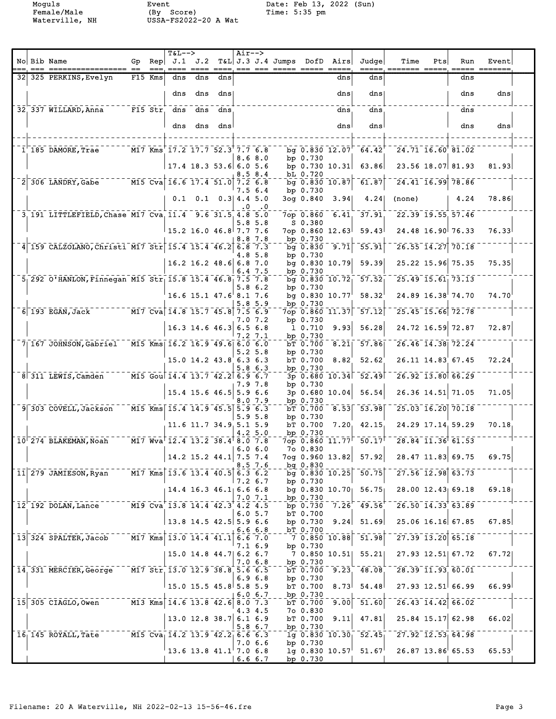Female/Male (By Score) Time: 5:35 pm Waterville, NH USSA-FS2022-20 A Wat

Moguls Event Date: Feb 13, 2022 (Sun)

|  | No Bib Name                                                                                                     | Gp |                 | <b>T&amp;L--&gt;</b><br>$\mathsf{Rep}$ J.1 J.2   |                                              |     | $Air--$   |            | T&L J.3 J.4 Jumps DofD Airs                  |                        |                       | Judge                                         | Time                                                                                                                                                                                                                                                                                                                | Pts | Run                                                      | Event                     |  |
|--|-----------------------------------------------------------------------------------------------------------------|----|-----------------|--------------------------------------------------|----------------------------------------------|-----|-----------|------------|----------------------------------------------|------------------------|-----------------------|-----------------------------------------------|---------------------------------------------------------------------------------------------------------------------------------------------------------------------------------------------------------------------------------------------------------------------------------------------------------------------|-----|----------------------------------------------------------|---------------------------|--|
|  | 32 325 PERKINS, Evelyn                                                                                          |    | $==$<br>F15 Kms | $====$<br>dns                                    | dns                                          | dns |           |            | <u> ==== ====, === === ===== ===== =====</u> |                        | dns                   | =====.<br>dns                                 | ======= =====                                                                                                                                                                                                                                                                                                       |     | $== == ==$<br>dns                                        |                           |  |
|  |                                                                                                                 |    |                 | dns                                              | dns                                          | dns |           |            |                                              |                        | dns                   | dns                                           |                                                                                                                                                                                                                                                                                                                     |     | dns                                                      | dns                       |  |
|  | 32 337 WILLARD, Anna F15 Str dns                                                                                |    |                 |                                                  |                                              |     |           |            |                                              |                        |                       | dns                                           |                                                                                                                                                                                                                                                                                                                     |     |                                                          |                           |  |
|  |                                                                                                                 |    |                 |                                                  | dns                                          | dns |           |            |                                              |                        | dns                   |                                               |                                                                                                                                                                                                                                                                                                                     |     | dns                                                      |                           |  |
|  |                                                                                                                 |    |                 | dns                                              | dns                                          | dns |           |            |                                              |                        | dns                   | dns                                           |                                                                                                                                                                                                                                                                                                                     |     | dns                                                      | dns                       |  |
|  | 1 185 DAMORE, Trae                                                                                              |    |                 | M17 Kms 17.2 17.7 52.3 7.7 6.8                   |                                              |     |           |            |                                              |                        |                       | bg $0.830 12.07 - 64.42$                      | $\overline{24.71}$ $\overline{16.60}$ $\overline{81.02}$                                                                                                                                                                                                                                                            |     |                                                          |                           |  |
|  |                                                                                                                 |    |                 | $17.4$ 18.3 53.6 6.0 5.6                         |                                              |     |           | 8.68.0     |                                              | bp $0.730$             |                       | bp $0.730 10.31$ 63.86                        |                                                                                                                                                                                                                                                                                                                     |     | 23.56 18.07 81.93                                        | 81.93                     |  |
|  | 2 306 LANDRY, Gabe M15 Cva 16.6 17.4 51.0 7.2 6.8                                                               |    |                 |                                                  |                                              |     |           | 8.58.4     |                                              | bL 0.720               |                       | bg $0.830 10.87$ 61.87                        |                                                                                                                                                                                                                                                                                                                     |     | $\overline{24.41}$ $\overline{16.99}$ $\overline{78.86}$ |                           |  |
|  |                                                                                                                 |    |                 |                                                  |                                              |     |           | 7.5 6.4    |                                              | bp $0.730$             |                       |                                               |                                                                                                                                                                                                                                                                                                                     |     |                                                          |                           |  |
|  |                                                                                                                 |    |                 |                                                  | $0.1 \quad 0.1 \quad 0.3 \mid 4.4 \quad 5.0$ |     | $\cdot$ 0 | .0         |                                              |                        | 3og 0.840 3.94        | 4.24                                          | (none)                                                                                                                                                                                                                                                                                                              |     | 4.24                                                     | 78.86                     |  |
|  | 3, 191 LITTLEFIELD, Chase M17 Cva, 11.4 9.6 31.5, 4.8 5.0                                                       |    |                 |                                                  |                                              |     |           | $5.8\ 5.8$ |                                              | $S_0.380$              | $7$ op $0.860 - 6.41$ | $\overline{37.91}$                            | $22.39$ 19.55 57.46                                                                                                                                                                                                                                                                                                 |     |                                                          |                           |  |
|  |                                                                                                                 |    |                 | $15.2$ 16.0 46.8 7.7 7.6                         |                                              |     |           | 8.8 7.8    |                                              | bp 0.730               | 7op 0.860 12.63       | 59.43                                         |                                                                                                                                                                                                                                                                                                                     |     | 24.48 16.90 76.33                                        | 76.33                     |  |
|  | 4 159 CALZOLANO, Christi M17 Str 15.4 15.4 46.2 6.8 7.3                                                         |    |                 |                                                  |                                              |     |           | 4.8 5.8    |                                              | bp $0.730$             | bg 0.830 9.71         | 55.91                                         |                                                                                                                                                                                                                                                                                                                     |     | $\overline{26.55}$ $\overline{14.27}$ $\overline{70.18}$ |                           |  |
|  |                                                                                                                 |    |                 |                                                  | 16.2 16.2 48.6 6.8 7.0                       |     |           | 6.47.5     |                                              | bp 0.730               | bg $0.830$ $10.79$    | 59.39                                         |                                                                                                                                                                                                                                                                                                                     |     | 25.22 15.96 75.35                                        | 75.35                     |  |
|  | $5$ <sup>292</sup> O'HANLON, Finnegan M15 Str <sub>1</sub> 15.8 15.4 46.8 7.5 7.8                               |    |                 |                                                  |                                              |     |           |            |                                              |                        |                       | bg 0.830 10.72 57.52                          |                                                                                                                                                                                                                                                                                                                     |     | $\overline{25.49}$ $\overline{15.61}$ $\overline{73.13}$ |                           |  |
|  |                                                                                                                 |    |                 | 16.6 15.1 47.6 8.1 7.6                           |                                              |     |           | 5.86.2     |                                              | bp $0.730$             | bg $0.830 10.77$      | $58.32^{\circ}$                               |                                                                                                                                                                                                                                                                                                                     |     | $24.89$ $16.38$ <sup><math>+ 74.70</math></sup>          | 74.70                     |  |
|  | $\overline{M17}$ Cva 14.8 15.7 45.8 7.5 6.9<br>$6$ 193 EGAN, Jack                                               |    |                 |                                                  |                                              |     |           | 5.85.9     |                                              | bp 0.730               |                       | $7$ op 0.860 11.37 57.12                      | $\overline{25.45}$ 15.66 72.78                                                                                                                                                                                                                                                                                      |     |                                                          |                           |  |
|  |                                                                                                                 |    |                 | $16.3$ 14.6 46.3 6.5 6.8                         |                                              |     |           | 7.0 7.2    |                                              | bp $0.730$<br>1 0.710  | 9.93                  | 56.28                                         |                                                                                                                                                                                                                                                                                                                     |     | 24.72 16.59 72.87                                        | 72.87                     |  |
|  | 7 167 JOHNSON, Gabriel M15 Kms 16.2 16.9 49.6 6.0 6.0                                                           |    |                 |                                                  |                                              |     |           | 7.2 7.1    |                                              | bp 0.730               | bT 0.700 8.21         | $\overline{57.86}$                            |                                                                                                                                                                                                                                                                                                                     |     | $\overline{26.46}$ $\overline{14.38}$ $\overline{72.24}$ |                           |  |
|  |                                                                                                                 |    |                 | $15.0$ 14.2 43.8 6.3 6.3                         |                                              |     |           | $5.2\;5.8$ |                                              | bp 0.730<br>bT 0.700   | 8.82                  | 52.62                                         |                                                                                                                                                                                                                                                                                                                     |     | 26.11 14.83 67.45                                        | 72.24                     |  |
|  |                                                                                                                 |    |                 |                                                  |                                              |     |           | 5.8 6.3    |                                              | bp 0.730               |                       |                                               |                                                                                                                                                                                                                                                                                                                     |     |                                                          |                           |  |
|  | 8 311 LEWIS, Camden M15 Goul 14.4 13.7 42.2 6.9 6.7                                                             |    |                 |                                                  |                                              |     |           | 7.9 7.8    |                                              | bp $0.730$             |                       | $-3p$ 0.680 10.34 52.49                       |                                                                                                                                                                                                                                                                                                                     |     | $\bar{26.92}$ $\bar{13.80}$ $\bar{66.29}$                |                           |  |
|  |                                                                                                                 |    |                 | $15.4$ 15.6 46.5 5.9 6.6                         |                                              |     |           | 8.0 7.9    |                                              | bp 0.730               | 3p 0.680 10.04        | 56.54                                         |                                                                                                                                                                                                                                                                                                                     |     | 26.36 14.51 71.05                                        | 71.05                     |  |
|  | 9 303 COVELL, Jackson                                                                                           |    |                 | M15 Kms 15.4 14.9 45.5 5.9 6.3                   |                                              |     |           | 5.95.8     |                                              | bp $0.730$             |                       | bT 0.700 8.53 53.98                           | $\overline{25.03}$ $\overline{16.20}$ $\overline{70.18}$                                                                                                                                                                                                                                                            |     |                                                          |                           |  |
|  |                                                                                                                 |    |                 | $11.6$ 11.7 34.9 5.1 5.9                         |                                              |     |           | 4.2 5.0    |                                              | bT 0.700<br>bp $0.730$ |                       | 7.20, 42.15                                   |                                                                                                                                                                                                                                                                                                                     |     | 24.29 17.14 59.29                                        | 70.18                     |  |
|  | 10 274 BLAKEMAN, Noah                                                                                           |    |                 | M17 Wva 12.4 13.2 38.4 8.0 7.8                   |                                              |     |           |            |                                              |                        |                       |                                               | 7op 0.860 11.77 50.17 28.84 11.36 61.53                                                                                                                                                                                                                                                                             |     |                                                          |                           |  |
|  |                                                                                                                 |    |                 | 14.2 15.2 44.1 7.5 7.4                           |                                              |     |           | 6.06.0     |                                              | 7o 0.830               |                       | 7og 0.960 13.82 57.92                         |                                                                                                                                                                                                                                                                                                                     |     | 28.47 11.83 69.75                                        | 69.75                     |  |
|  | $11$ 279 JAMIESON, Ryan $117$ Kms 13.6 13.4 40.5 6.3 6.2                                                        |    |                 |                                                  |                                              |     |           | 8.57.6     |                                              | $bq$ 0.830             |                       | $\bar{b}g$ 0.830 10.25 50.75                  |                                                                                                                                                                                                                                                                                                                     |     | $\frac{1}{27.56}$ 12.98 63.73                            |                           |  |
|  |                                                                                                                 |    |                 | $14.4$ 16.3 46.1 6.6 6.8                         |                                              |     |           | $7.2\;6.7$ |                                              | bp 0.730               |                       |                                               | bg 0.830 10.70 56.75 28.00 12.43 69.18                                                                                                                                                                                                                                                                              |     |                                                          | 69.18                     |  |
|  | 12 192 DOLAN, Lance ----- M19 Cva 13.8 14.4 42.3 4.2 4.5                                                        |    |                 |                                                  |                                              |     |           | 7.07.1     |                                              | bp 0.730               |                       |                                               | $\frac{1}{2}$ $\frac{1}{2}$ $\frac{1}{2}$ $\frac{1}{2}$ $\frac{1}{2}$ $\frac{1}{2}$ $\frac{1}{2}$ $\frac{1}{2}$ $\frac{1}{2}$ $\frac{1}{2}$ $\frac{1}{2}$ $\frac{1}{2}$ $\frac{1}{2}$ $\frac{1}{2}$ $\frac{1}{2}$ $\frac{1}{2}$ $\frac{1}{2}$ $\frac{1}{2}$ $\frac{1}{2}$ $\frac{1}{2}$ $\frac{1}{2}$ $\frac{1}{2}$ |     |                                                          |                           |  |
|  |                                                                                                                 |    |                 | $13.8$ 14.5 42.5 5.9 6.6                         |                                              |     |           | 6.05.7     |                                              | $bT$ 0.700             |                       |                                               | bp $0.730$ $9.24$ $51.69$ $25.06$ $16.16$ 67.85                                                                                                                                                                                                                                                                     |     |                                                          | 67.85                     |  |
|  | 13 324 SPALTER, Jacob --- M17 Kms 13.0 14.4 41.1 6.6 7.0                                                        |    |                 |                                                  |                                              |     |           | 6.66.8     |                                              | $bT$ 0.700             |                       | $-7$ 0.850 10.88 51.98                        |                                                                                                                                                                                                                                                                                                                     |     | $\frac{1}{27.39}$ $\frac{1}{3.20}$ 65.18                 |                           |  |
|  |                                                                                                                 |    |                 |                                                  |                                              |     |           | 7.1 6.9    |                                              | bp $0.730$             |                       |                                               |                                                                                                                                                                                                                                                                                                                     |     |                                                          |                           |  |
|  |                                                                                                                 |    |                 | 15.0 14.8 44.7  6.2 6.7                          |                                              |     |           | 7.06.8     |                                              | bp 0.730               |                       | $7$ 0.850 10.51 55.21                         |                                                                                                                                                                                                                                                                                                                     |     | 27.93 12.51 67.72                                        | 67.72                     |  |
|  | 14 331 MERCIER, George M17 Str 13.0 12.9 38.8 5.6 6.5                                                           |    |                 |                                                  |                                              |     |           | 6.96.8     |                                              | bp 0.730               |                       | $\overline{bT}$ 0.700 9.23 48.08              |                                                                                                                                                                                                                                                                                                                     |     | $\overline{28.39}$ $\overline{11.93}$ $\overline{60.01}$ |                           |  |
|  |                                                                                                                 |    |                 | $15.0$ 15.5 45.8 5.8 5.9                         |                                              |     |           | 6.06.7     |                                              | bp 0.730               |                       | $bT$ 0.700 8.73 54.48                         |                                                                                                                                                                                                                                                                                                                     |     |                                                          | $27.93$ 12.51 66.99 66.99 |  |
|  | $15\overline{)305}$ CIAGLO, Owen $\overline{)13}$ Kms $14.6$ $13.8$ $42.6$ $\overline{)3.05}$ $\overline{)7.3}$ |    |                 |                                                  |                                              |     |           |            |                                              |                        |                       | $\overline{bT}$ 0.700 $\overline{9.00}$ 51.60 |                                                                                                                                                                                                                                                                                                                     |     | $\overline{26.43}$ $\overline{14.42}$ $\overline{66.02}$ |                           |  |
|  |                                                                                                                 |    |                 | $13.0$ 12.8 38.7 6.1 6.9                         |                                              |     |           | 4.3 4.5    |                                              | 70 0.830               |                       | bT $0.700$ $9.11$ $47.81$                     |                                                                                                                                                                                                                                                                                                                     |     |                                                          | $25.84$ 15.17 62.98 66.02 |  |
|  | 16 145 ROYALL, Tate M15 Cva 14.2 13.9 42.2 6.6 6.3                                                              |    |                 |                                                  |                                              |     |           | $5.8\,6.7$ |                                              | bp 0.730               |                       |                                               | $\frac{1}{19}$ 0.830 10.30 52.45 727.92 12.53 64.98                                                                                                                                                                                                                                                                 |     |                                                          |                           |  |
|  |                                                                                                                 |    |                 | $^{\dagger}$ 13.6 13.8 41.1 $^{\dagger}$ 7.0 6.8 |                                              |     |           | 7.06.6     |                                              | bp 0.730               |                       |                                               | $1g$ 0.830 10.57 51.67 26.87 13.86 65.53 65.53                                                                                                                                                                                                                                                                      |     |                                                          |                           |  |
|  |                                                                                                                 |    |                 |                                                  |                                              |     |           | 6.66.7     |                                              | bp $0.730$             |                       |                                               |                                                                                                                                                                                                                                                                                                                     |     |                                                          |                           |  |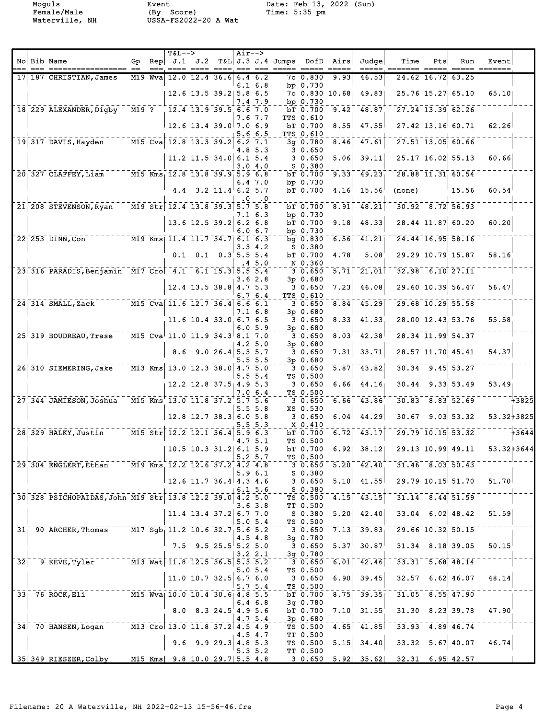Female/Male (By Score) Time: 5:35 pm Waterville, NH USSA-FS2022-20 A Wat

Moguls Event Date: Feb 13, 2022 (Sun)

|  | No Bib Name                                                                     |  |                                | $T\&L-->$                 | Air-->    |              | Gp Rep J.1 J.2 T&L J.3 J.4 Jumps DofD Airs |                              |      | Judgel                                                | Time                                          | Pts         | Run                                                                       | Event                               |             |
|--|---------------------------------------------------------------------------------|--|--------------------------------|---------------------------|-----------|--------------|--------------------------------------------|------------------------------|------|-------------------------------------------------------|-----------------------------------------------|-------------|---------------------------------------------------------------------------|-------------------------------------|-------------|
|  |                                                                                 |  |                                |                           |           |              |                                            |                              |      |                                                       | ===== ======= ===:                            |             |                                                                           |                                     |             |
|  | 17 187 CHRISTIAN, James                                                         |  | M19 Wva 12.0 12.4 36.6 6.4 6.2 |                           |           | $6.1\;6.8$   |                                            | 7o 0.830<br>bp $0.730$       | 9.93 | 46.53                                                 |                                               | 24.62 16.72 | 63.25                                                                     |                                     |             |
|  |                                                                                 |  |                                | 12.6 13.5 39.2 5.8 6.5    |           |              |                                            |                              |      | 7o 0.830 10.68 49.83                                  |                                               |             | 25.76 15.27 65.10                                                         | 65.10                               |             |
|  | 18 229 ALEXANDER, Digby M19 ? 12.4 13.9 39.5 6.6 7.0                            |  |                                |                           |           | 7.4 7.9      |                                            | bp 0.730<br>bT 0.700         | 9.42 | 48.87                                                 |                                               |             | 27.24 13.39 62.26                                                         |                                     |             |
|  |                                                                                 |  | $\pm 12.6$ 13.4 39.0 7.0 6.9   |                           |           | 7.6 7.7      |                                            | <b>TTS 0.610</b><br>bT 0.700 | 8.55 | 47.55                                                 |                                               |             | 27.42 13.16 60.71                                                         | 62,26                               |             |
|  |                                                                                 |  |                                |                           |           | 5.66.5       |                                            | <b>TTS 0.610</b>             |      |                                                       |                                               |             |                                                                           |                                     |             |
|  | 19 317 DAVIS, Hayden ----- M15 Cva 12.8 13.3 39.2 6.2 7.1                       |  |                                |                           |           | 4.8 5.3      |                                            | $3q$ 0.780<br>30.650         | 8.46 | 47.61                                                 |                                               |             | $\overline{27.51}$ $\overline{13.05}$ $\overline{60.66}$                  |                                     |             |
|  |                                                                                 |  |                                | $11.2$ 11.5 34.0 6.1 5.4  |           | 3.04.0       |                                            | 3 0.650<br>$S$ 0.380         | 5.06 | 39.11                                                 |                                               |             | 25.17 16.02 55.13                                                         | 60.66                               |             |
|  | 20 327 CLAFFEY, Liam - - - - M15 Kms 12.8 13.8 39.9 5.9 6.8                     |  |                                |                           |           |              |                                            | bT 0.700                     |      | $9.33 - 49.23$                                        |                                               |             | $28.88$ 11.31 60.54                                                       |                                     |             |
|  |                                                                                 |  |                                | 4.4 3.2 11.4 6.2 5.7      |           | 6.47.0       |                                            | bp $0.730$<br>bT 0.700       | 4.16 | 15.56                                                 | (none)                                        |             | 15.56                                                                     | 60.54                               |             |
|  | 21 208 STEVENSON, Ryan M19 Str 12.4 13.8 39.3 5.7 5.8                           |  |                                |                           | $\cdot$ 0 | $\cdot$ 0    |                                            | bT 0.700                     | 8.91 | 48.21                                                 |                                               |             | $30.92 - 8.72$ 56.93                                                      |                                     |             |
|  |                                                                                 |  |                                |                           |           | 7.1 6.3      |                                            | bp $0.730$                   |      |                                                       |                                               |             |                                                                           |                                     |             |
|  |                                                                                 |  |                                | $13.6$ 12.5 39.2 6.2 6.8  |           | 6.06.7       |                                            | bT 0.700<br>bp $0.730$       | 9.18 | 48.33                                                 |                                               |             | 28.44 11.87 60.20                                                         | 60.20                               |             |
|  | $22\overline{)253}$ DINN, Con <sup>-------</sup> M19 Kms 11.4 11.7 34.7 6.1 6.3 |  |                                |                           |           |              |                                            | bg 0.830                     |      | $6.56$ $41.21$                                        |                                               |             | $24.44$ $16.95$ 58.16                                                     |                                     |             |
|  |                                                                                 |  |                                | $0.1$ $0.1$ $0.3$ 5.5 5.4 |           | 3.34.2       |                                            | S 0.380<br>bT 0.700          | 4.78 | 5.08                                                  |                                               |             | 29.29 10.79 15.87                                                         | 58.16                               |             |
|  | 23 316 PARADIS, Benjamin M17 Cro 4.1 6.1 15.3 5.5 5.4                           |  |                                |                           |           | .45.0        |                                            | N 0.360<br>3 0.650           |      | $5.71$ 21.01                                          |                                               |             | $32.98$ 6.10 $27.11$                                                      |                                     |             |
|  |                                                                                 |  |                                |                           |           | 3.62.8       |                                            | $3p$ 0.680                   |      |                                                       |                                               |             |                                                                           |                                     |             |
|  |                                                                                 |  |                                | $12.4$ 13.5 38.8 4.7 5.3  |           | 6.76.4       |                                            | 3 0.650<br>TTS 0.610         | 7.23 | 46.08                                                 |                                               |             | 29.60 10.39 56.47                                                         | 56.47                               |             |
|  | 24 314 SMALL, Zack M15 Cva 11.6 12.7 36.4 6.6 6.1                               |  |                                |                           |           | 7.1 6.8      |                                            | $3p$ 0.680                   |      | $30.650$ $8.84$ $45.29$                               |                                               |             | $29.68 - 10.29$ 55.58                                                     |                                     |             |
|  |                                                                                 |  |                                | 11.6 10.4 33.0 6.7 6.5    |           |              |                                            | 30.650                       |      | 8.33, 41.33                                           |                                               |             | 28.00 12.43 53.76                                                         | 55.58                               |             |
|  | 25 319 BOUDREAU, Trase M15 Cva 11.0 11.9 34.3 8.1 7.0                           |  |                                |                           |           | 6.05.9       |                                            | $-3p$ 0.680<br>3 0.650       |      | $8.03$ <sup><math>-42.38</math></sup>                 |                                               |             | $\frac{1}{28.34}$ $\frac{1}{11.99}$ $\frac{1}{54.37}$                     |                                     |             |
|  |                                                                                 |  |                                | 8.6 9.0 26.4 5.3 5.7      |           | 4.25.0       |                                            | $3p$ 0.680<br>3 0.650        | 7.31 | 33.71                                                 |                                               |             | 28.57 11.70 45.41                                                         | 54.37                               |             |
|  |                                                                                 |  |                                |                           |           | 5.5 5.5      |                                            | $3p$ 0.680                   |      |                                                       |                                               |             |                                                                           |                                     |             |
|  | 26 310 SIEMERING, Jake M13 Kms 13.0 12.3 38.0 4.7 5.0                           |  |                                |                           |           | $5.5 \, 5.4$ |                                            | 3 0.650<br>TS 0.500          |      | $5.87$ 43.82                                          |                                               |             | $30.34 - 9.45$ 53.27                                                      |                                     |             |
|  |                                                                                 |  | $12.2$ 12.8 37.5 4.9 5.3       |                           |           |              |                                            | 3 0.650                      |      | $6.66$ $44.16$                                        |                                               |             |                                                                           | $30.44$ 9.33 53.49 53.49            |             |
|  | 27 344 JAMIESON, Joshua M15 Kms 13.0 11.8 37.2 5.7 5.6                          |  |                                |                           |           | 7.0 6.4      |                                            | TS 0.500<br>3 0.650          |      | $6.66'$ 43.86                                         |                                               |             | $\overline{30.83}$ $\overline{8.83}$ $\overline{52.69}$ $\overline{52.7}$ |                                     | $-1 - 3825$ |
|  |                                                                                 |  |                                | $12.8$ 12.7 38.3 6.0 5.8  |           | $5.5 \, 5.8$ |                                            | XS 0.530<br>3 0.650          | 6.04 | 44.29                                                 |                                               |             |                                                                           | $30.67$ $9.03$ $53.32$ $53.32+3825$ |             |
|  | 28 329 HALKY, Justin M15 Str 12.2 12.1 36.4 5.9 6.3                             |  |                                |                           |           | 5.5 5.3      |                                            | X 0.410<br>bT 0.700          |      | $6.72$ 43.17                                          |                                               |             | $\overline{29.79}$ $\overline{10.15}$ $\overline{53.32}$ - -              |                                     |             |
|  |                                                                                 |  |                                |                           |           | 4.75.1       |                                            | TS 0.500                     |      |                                                       |                                               |             |                                                                           |                                     |             |
|  |                                                                                 |  | 10.5 10.3 31.2  6.1 5.9        |                           |           | 5.25.7       |                                            | bT 0.700<br>TS 0.500         |      | $6.92$ 38.12                                          |                                               |             | 29.13 10.99 49.11                                                         | 53.32+3644                          |             |
|  | 29 304 ENGLERT, Ethan M19 Kms 12.2 12.6 37.2 4.2 4.8                            |  |                                |                           |           | 5.96.1       |                                            | 3 0.650<br>$S$ 0.380         |      | $5.20 - 42.40$                                        |                                               |             | 31.46 8.03 50.43                                                          |                                     |             |
|  |                                                                                 |  | $12.6$ 11.7 36.4 4.3 4.6       |                           |           |              |                                            | 3 0.650                      |      | $5.10$ 41.55                                          |                                               |             | 29.79 10.15 51.70                                                         | 51.70                               |             |
|  | 30 328 PSICHOPAIDAS, John M19 Str 13.8 12.2 39.0 4.2 5.0                        |  |                                |                           |           | 6.15.6       |                                            | $S$ 0.380<br>TS 0.500        |      | $\overline{4.15}$ $\overline{43.15}$                  |                                               |             | $31.14 - 8.44$ 51.59                                                      |                                     |             |
|  |                                                                                 |  |                                | $11.4$ 13.4 37.2 6.7 7.0  |           | 3.63.8       |                                            | TT 0.500<br>S 0.380          |      | $5.20 \mid 42.40 \mid$                                |                                               |             | $33.04$ 6.02 48.42                                                        | 51.59                               |             |
|  |                                                                                 |  |                                |                           |           | 5.05.4       |                                            | TS 0.500                     |      |                                                       |                                               |             |                                                                           |                                     |             |
|  | 31 90 ARCHER, Thomas - M17 Sgb 11.2 10.6 32.7 5.6 5.2                           |  |                                |                           |           | 4.54.8       |                                            | $3q$ 0.780                   |      | $-30.650 - 7.13 - 39.83$                              |                                               |             | $\overline{29.66}$ $\overline{10.32}$ $\overline{50.15}$                  |                                     |             |
|  |                                                                                 |  |                                | 7.5 9.5 25.5 5.2 5.0      |           | 3.22.1       |                                            | 3 0.650<br>3g 0.780          |      | $5.37^{1}$ 30.87                                      |                                               |             | $31.34$ $8.18$ 39.05                                                      | 50.15                               |             |
|  | 32 <sup>-</sup> 9 KEVE, Tyler <sup>------</sup> M13 Wat 11.8 12.5 36.5 5.3 5.2  |  |                                |                           |           |              |                                            | 3 0.650                      |      | $\overline{6.01}$ $\overline{42.46}$                  |                                               |             | $-33.31 - 5.68$ 48.14                                                     |                                     |             |
|  |                                                                                 |  |                                | 11.0 10.7 32.5 6.7 6.0    |           | 5.05.4       |                                            | TS 0.500<br>30.650           |      | $6.90$ 39.45                                          |                                               |             | $32.57$ 6.62 46.07                                                        | 48.14                               |             |
|  | 33 76 ROCK, Eli M15 Wva 10.0 10.4 30.6 4.8 5.5                                  |  |                                |                           |           | 5.75.4       |                                            | TS 0.500                     |      | $bT$ 0.700 8.75 39.35                                 |                                               |             | $31.05 - 8.55$ 47.90                                                      |                                     |             |
|  |                                                                                 |  |                                |                           |           | 6.46.8       |                                            | 3g 0.780                     |      |                                                       |                                               |             |                                                                           |                                     |             |
|  |                                                                                 |  |                                | 8.0 8.3 24.5 4.9 5.6      |           | 4.7 5.4      |                                            | 3p 0.680                     |      | bT $0.700$ $7.10$ $31.55$                             |                                               |             | $31.30$ $8.23$ 39.78                                                      | 47.90                               |             |
|  | 34 70 HANSEN, Logan M13 Cro 13.0 11.8 37.2 4.5 4.9                              |  |                                |                           |           | 4.5 4.7      |                                            | TT 0.500                     |      | $\bar{\texttt{TS}}$ 0.500 $\bar{\texttt{4.65}}$ 41.85 |                                               |             | $-33.93 - 4.89$ $46.74$                                                   |                                     |             |
|  |                                                                                 |  |                                | 9.6 9.9 29.3 4.8 5.3      |           |              |                                            | TS 0.500                     |      | $5.15$ 34.40                                          |                                               |             | $33.32$ $5.67$ 40.07                                                      | 46.74                               |             |
|  | 35 349 RIESZER, Colby M15 Kms 9.8 10.0 29.7 5.5 4.8                             |  |                                |                           |           | 5.35.2       |                                            | TT 0.500                     |      |                                                       | $-30.650 - 5.92 - 35.62 - 32.31 - 6.95$ 42.57 |             |                                                                           |                                     |             |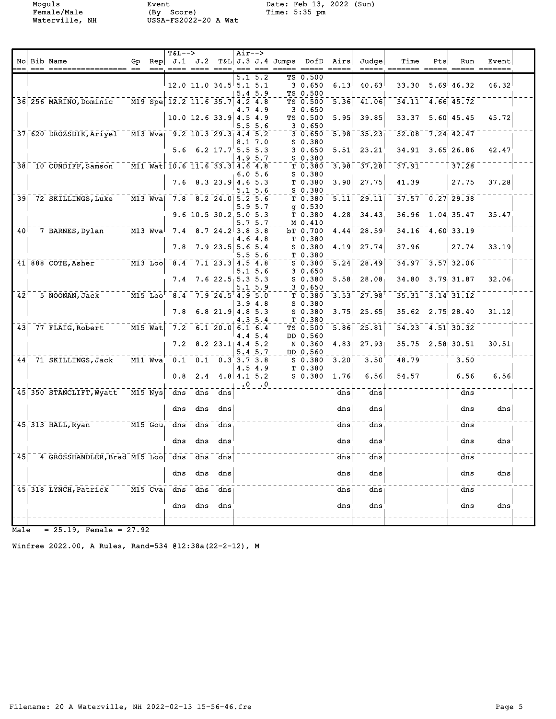Female/Male (By Score) Time: 5:35 pm Waterville, NH USSA-FS2022-20 A Wat

Moguls Event Date: Feb 13, 2022 (Sun)

|                            |                                                                                      |                                           | $T&L-->$                                |     |                                               | $Air--$                               |               |                                                                                                                              |                                     |                   |                      |                        |     |                                     |       |  |
|----------------------------|--------------------------------------------------------------------------------------|-------------------------------------------|-----------------------------------------|-----|-----------------------------------------------|---------------------------------------|---------------|------------------------------------------------------------------------------------------------------------------------------|-------------------------------------|-------------------|----------------------|------------------------|-----|-------------------------------------|-------|--|
|                            | No Bib Name                                                                          | $==$                                      |                                         |     |                                               | $\qquad \qquad \quad \  \  \, \doteq$ |               | Gp Rep J.1 J.2 T&L J.3 J.4 Jumps DofD Airs<br>$\begin{array}{cccc} \texttt{---} & \texttt{---} & \texttt{---} & \end{array}$ | $\qquad \qquad - \qquad - \qquad -$ | =====             | Judgel               | Time<br>=====_ ======= | Pts | Run                                 | Event |  |
|                            |                                                                                      |                                           |                                         |     |                                               | 5.1                                   | 5.2           |                                                                                                                              | TS 0.500                            |                   |                      |                        |     |                                     |       |  |
|                            |                                                                                      |                                           | $12.0$ 11.0 34.5 5.1 5.1                |     |                                               |                                       |               |                                                                                                                              | 30.650                              | 6.13              | 40.63                | 33.30                  |     | $5.69$ <sup>1</sup> 46.32           | 46.32 |  |
|                            |                                                                                      |                                           |                                         |     |                                               |                                       | 5.45.9        |                                                                                                                              | TS 0.500                            |                   |                      |                        |     |                                     |       |  |
|                            | 36 256 MARINO, Dominic                                                               |                                           | $\sqrt{M19}$ Spe 12.2 11.6 35.7 4.2 4.8 |     |                                               |                                       |               |                                                                                                                              | TS 0.500                            | 5.36              | 41.06                |                        |     | $34.11$ $4.66$ $45.72$              |       |  |
|                            |                                                                                      |                                           |                                         |     |                                               |                                       | 4.7 4.9       |                                                                                                                              | 30.650                              |                   |                      |                        |     |                                     |       |  |
|                            |                                                                                      |                                           |                                         |     | $10.0$ 12.6 33.9 4.5 4.9                      |                                       |               |                                                                                                                              | TS 0.500                            | 5.95              | 39.85                | 33.37                  |     | $5.60 \, 45.45$                     | 45.72 |  |
|                            | 37 620 DROZSDIK, Ariyel M13 Wva 9.2 10.3 29.3 4.4 5.2                                |                                           |                                         |     |                                               |                                       | 5.5 5.6       |                                                                                                                              | 30.650<br>30.650                    | 5.98              | 35.23                |                        |     | $32.08$ 7.24 42.47                  |       |  |
|                            |                                                                                      |                                           |                                         |     |                                               |                                       | 8.1 7.0       |                                                                                                                              | $S_0.380$                           |                   |                      |                        |     |                                     |       |  |
|                            |                                                                                      |                                           |                                         |     | $5.6 \t 6.2 \t 17.75.5 \t 5.3$                |                                       |               |                                                                                                                              | 30.650                              | 5.51'             | 23.21                |                        |     | 34.91 3.65 26.86                    | 42.47 |  |
|                            |                                                                                      |                                           |                                         |     |                                               |                                       | 4.9 5.7       |                                                                                                                              | $S$ 0.380                           |                   |                      |                        |     |                                     |       |  |
|                            | 38 10 CUNDIFF, Samson                                                                |                                           | $-$ M11 Wat 10.6 11.6 33.3 4.6          |     |                                               |                                       | 4.8           |                                                                                                                              | T 0.380                             | $\bar{3.98}$      | $\overline{37.28}$   | $\overline{37.91}$     |     | 37.28                               |       |  |
|                            |                                                                                      |                                           |                                         |     |                                               |                                       | 6.0 5.6       |                                                                                                                              | $S$ 0.380                           |                   |                      |                        |     |                                     |       |  |
|                            |                                                                                      |                                           |                                         |     | $7.6$ 8.3 23.9 4.6 5.3                        |                                       |               |                                                                                                                              | T 0.380                             | 3.90              | 27.75                | 41.39                  |     | 27.75                               | 37.28 |  |
|                            | 39 72 SKILLINGS, Luke                                                                | $M13$ Wva                                 |                                         |     | $7.8$ $8.2$ $24.0$ $5.2$ $5.6$                |                                       | $5.1\,5.6$    |                                                                                                                              | $S$ 0.380<br>T 0.380                | $\overline{5.11}$ | $\overline{29.11}$   | $37.57$ 0.27 29.38     |     |                                     |       |  |
|                            |                                                                                      |                                           |                                         |     |                                               |                                       | 5.95.7        |                                                                                                                              | $q_{0.530}$                         |                   |                      |                        |     |                                     |       |  |
|                            |                                                                                      |                                           |                                         |     | 9.6 10.5 30.2 5.0 5.3                         |                                       |               |                                                                                                                              | T 0.380                             | 4.28.             | 34.43                |                        |     | 36.96 1.04 35.47                    | 35.47 |  |
|                            |                                                                                      |                                           |                                         |     |                                               |                                       | 5.7 5.7       |                                                                                                                              | M 0.410                             |                   |                      |                        |     |                                     |       |  |
|                            | $140$ <sup><math>-7</math></sup> BARNES, Dylan <sup>-----</sup> M13 Wva <sup> </sup> |                                           |                                         |     | $7.4$ $8.7$ $24.2$ $3.8$ $3.8$                |                                       |               |                                                                                                                              | bT 0.700                            | 4.44              | $\bar{28.59}$        |                        |     | $-34.16 - 4.60$ $33.19$             |       |  |
|                            |                                                                                      |                                           |                                         |     |                                               |                                       | 4.64.8        |                                                                                                                              | T 0.380                             |                   |                      |                        |     |                                     |       |  |
|                            |                                                                                      |                                           | 7.8                                     |     | $7.9$ 23.5 5.6 5.4                            |                                       | 5.5 5.6       |                                                                                                                              | $S$ 0.380<br>T 0.380                | 4.19              | 27.74                | 37.96                  |     | 27.74                               | 33.19 |  |
|                            | $11\overline{\text{ }1688\text{ }C0TE,}$ Asher $13\overline{\text{ }100}$            |                                           | 8.4                                     |     | $7.1$ 23.3 4.5 4.8                            |                                       |               |                                                                                                                              | S 0.380                             | $\overline{5.24}$ | 28.49                |                        |     | $34.97 - 3.57$ 32.06                |       |  |
|                            |                                                                                      |                                           |                                         |     |                                               |                                       | $5.1 \, 5.6$  |                                                                                                                              | 3 0.650                             |                   |                      |                        |     |                                     |       |  |
|                            |                                                                                      |                                           | 7.4                                     |     | $7.6$ 22.5 5.3 5.3                            |                                       |               |                                                                                                                              | $S$ 0.380                           | 5.58 <sub>1</sub> | 28.08                | 34.80                  |     | 3.79, 31.87                         | 32.06 |  |
|                            |                                                                                      |                                           |                                         |     |                                               |                                       | 5.1 5.9       |                                                                                                                              | 3 0.650                             |                   |                      |                        |     |                                     |       |  |
| $\overline{4}\overline{2}$ | 5 NOONAN, Jack                                                                       | $\nu$ - $\overline{M15}$ $\overline{LOO}$ |                                         |     | $8.4$ 7.9 24.5 4.9 5.0                        |                                       |               |                                                                                                                              | T 0.380                             | 3.53              | $27.98$ <sup>T</sup> |                        |     | $35.31 - 3.14$ <sup>†</sup> $31.12$ |       |  |
|                            |                                                                                      |                                           | 7.8                                     |     | 6.8 21.9 4.8 5.3                              |                                       | 3.94.8        |                                                                                                                              | S 0.380<br>$S_0.380$                | 3.75              | 25.65                |                        |     | $35.62$ $2.75$ 28.40                | 31.12 |  |
|                            |                                                                                      |                                           |                                         |     |                                               |                                       | 4.3 5.4       |                                                                                                                              | T 0.380                             |                   |                      |                        |     |                                     |       |  |
|                            | $\overline{43}$ 77 FLAIG, Robert                                                     | $\overline{M15}$ Wat                      |                                         |     | $7.2$ 6.1 20.0 6.1 6.4                        |                                       |               |                                                                                                                              | TS 0.500                            | 5.86              | $\sqrt{25.81}$       |                        |     | $-34.23 - 4.51$ 30.32               |       |  |
|                            |                                                                                      |                                           |                                         |     |                                               | 4.4                                   | 5.4           |                                                                                                                              | DD 0.560                            |                   |                      |                        |     |                                     |       |  |
|                            |                                                                                      |                                           |                                         |     | $7.2$ 8.2 23.1 4.4 5.2                        |                                       |               |                                                                                                                              | N 0.360                             | 4.83              | 27.931               |                        |     | 35.75 2.58 30.51                    | 30.51 |  |
|                            | 44 71 SKILLINGS, Jack                                                                | $\overline{$ M11 Wva $\overline{}$        |                                         |     | $0.1 \quad 0.1 \quad 0.3 \quad 3.7 \quad 3.8$ |                                       | 5.4 5.7       |                                                                                                                              | DD 0.560                            | 3.20              | $\overline{3.50}$    | 48.79                  |     | 3.50                                |       |  |
|                            |                                                                                      |                                           |                                         |     |                                               |                                       | 4.5 4.9       |                                                                                                                              | $S_0.380$<br>T 0.380                |                   |                      |                        |     |                                     |       |  |
|                            |                                                                                      |                                           | 0.8                                     |     | $2.4$ 4.8 4.1 5.2                             |                                       |               |                                                                                                                              | S 0.380                             | 1.76              | 6.56                 | 54.57                  |     | 6.56                                | 6.56  |  |
|                            |                                                                                      |                                           |                                         |     |                                               |                                       | $.0 \quad .0$ |                                                                                                                              |                                     |                   |                      |                        |     |                                     |       |  |
|                            | 45 350 STANCLIFT, Wyatt M15 Nys                                                      |                                           | $\overline{dns}$                        |     | dns dns                                       |                                       |               |                                                                                                                              |                                     | $\overline{dns}$  | dns                  |                        |     | dns                                 |       |  |
|                            |                                                                                      |                                           |                                         |     |                                               |                                       |               |                                                                                                                              |                                     |                   |                      |                        |     |                                     |       |  |
|                            |                                                                                      |                                           | dns                                     | dns | dns                                           |                                       |               |                                                                                                                              |                                     | dns               | dns                  |                        |     | dns                                 | dns   |  |
|                            | $45$ , 313 HALL, Ryan<br>$    \overline{\text{M15}}$ $\overline{\text{Gou}}$         |                                           | dns                                     | dns | dns                                           |                                       |               |                                                                                                                              |                                     | dns               | dns                  |                        |     | dns                                 |       |  |
|                            |                                                                                      |                                           |                                         |     |                                               |                                       |               |                                                                                                                              |                                     |                   |                      |                        |     |                                     |       |  |
|                            |                                                                                      |                                           | dns                                     | dns | dns                                           |                                       |               |                                                                                                                              |                                     | dns               | dns                  |                        |     | dns                                 | dns   |  |
|                            |                                                                                      |                                           |                                         |     |                                               |                                       |               |                                                                                                                              |                                     |                   |                      |                        |     |                                     |       |  |
| 45                         | 4 GROSSHANDLER, Brad M15 Loo dns                                                     |                                           |                                         | dns | dns                                           |                                       |               |                                                                                                                              |                                     | $\frac{dns}{ }$   | dns                  |                        |     | dns                                 |       |  |
|                            |                                                                                      |                                           | dns                                     | dns | dns                                           |                                       |               |                                                                                                                              |                                     | dns               | dns                  |                        |     | dns                                 | dns   |  |
|                            |                                                                                      |                                           |                                         |     |                                               |                                       |               |                                                                                                                              |                                     |                   |                      |                        |     |                                     |       |  |
|                            | 45 318 LYNCH, Patrick                                                                | $M15$ Cva                                 | dns                                     | dns | dns                                           |                                       |               |                                                                                                                              |                                     | dns               | dns                  |                        |     | dns                                 |       |  |
|                            |                                                                                      |                                           |                                         |     |                                               |                                       |               |                                                                                                                              |                                     |                   |                      |                        |     |                                     |       |  |
|                            |                                                                                      |                                           | dns                                     | dns | dns                                           |                                       |               |                                                                                                                              |                                     | dns               | dns                  |                        |     | dns                                 | dns   |  |
|                            |                                                                                      |                                           |                                         |     |                                               |                                       |               |                                                                                                                              |                                     |                   |                      |                        |     |                                     |       |  |
|                            |                                                                                      |                                           |                                         |     |                                               |                                       |               |                                                                                                                              |                                     |                   |                      |                        |     |                                     |       |  |

 $Male = 25.19$ , Female =  $27.92$ 

Winfree 2022.00, A Rules, Rand=534 @12:38a(22-2-12), M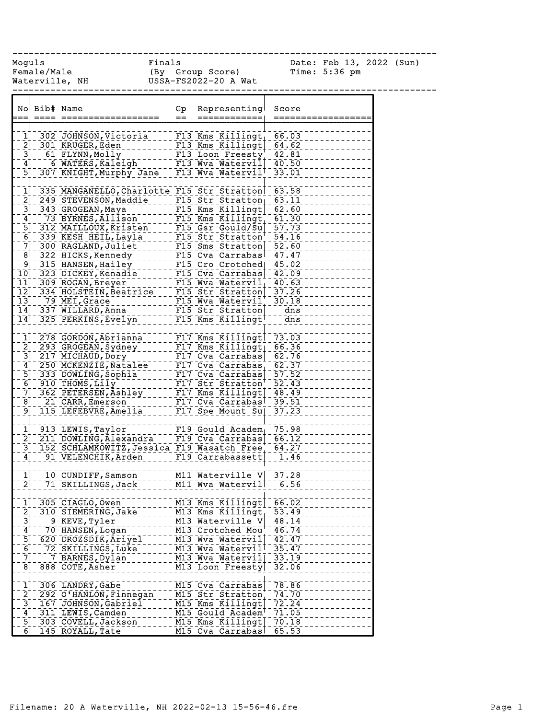Female/Male (By Group Score) Time: 5:36 pm Waterville, NH USSA-FS2022-20 A Wat ------------------------------------------------------------------------------ No Bib# Name Gp Representing Score === ==== ================== == ============ ==================  $11 - 302$  JOHNSON, Victoria F13 Kms Killingt 66.03 2 301 KRUGER, Eden F111 F13 Kms Killingt 64.62<br>- 3 - 61 FLYNN, Molly<br>- 4 - 6 WATERS, Kaleich F111 W. W. Western 42.81 3 61 FLYNN,Molly F13 Loon Freesty 42.81 4 6 WATERS, Kaleigh F13 Wva Watervil 40.50 5 307 KNIGHT, Murphy Jane F13 Wva Watervil 33.01 1 335 MANGANELLO, Charlotte F15 Str Stratton 63.58  $2<sub>1</sub>$  249 STEVENSON, Maddie F15 Str Stratton 63.11 3 343 GROGEAN, Maya F15 Kms Killingt 62.60 4 73 BYRNES, Allison F15 Kms Killingt 61.30 5 312 MAILLOUX, Kristen F15 Gsr Gould/Su 57.73 6<sup>1</sup> 339 KESH HEIL, Layla F15 Str Stratton<sup>1</sup> 54.16 7 300 RAGLAND, Juliet F15 Sms Stratton 52.60 8 322 HICKS, Kennedy F15 Cva Carrabas 47.47 9 315 HANSEN, Hailey F15 Cro Crotched 45.02 10 323 DICKEY, Kenadie F15 Cva Carrabas 42.09 11 309 ROGAN, Breyer F15 Wva Watervil 40.63 12 334 HOLSTEIN, Beatrice F15 Str Stratton 37.26 13 79 MEI, Grace F15 Wva Watervil 30.18 14 337 WILLARD,Anna F15 Str Stratton dns 14 325 PERKINS,Evelyn F15 Kms Killingt dns 1 278 GORDON, Abrianna F17 Kms Killingt 73.03 2 293 GROGEAN, Sydney F17 Kms Killingt 66.36 3 217 MICHAUD, DOry F1111 Cva Carrabas 62.76 4 250 MCKENZIE, Natalee F17 Cva Carrabas 62.37 5 333 DOWLING, Sophia F17 Cva Carrabas 57.52 6 910 THOMS, Lily F17 Str Stratton 52.43 7 362 PETERSEN, Ashley F17 Kms Killingt 48.49 8 21 CARR, Emerson F17 Cva Carrabas 39.51 9 115 LEFEBVRE, Amelia F17 Spe Mount Su 37.23 1 913 LEWIS, Taylor F119 Gould Academ 75.98<br>2 211 DOWLING, Alexandra F19 Cva Carrabas 66.12 2 211 <u>Gould Academ<sub>|</sub> 75.98 2</u><br>22 211 F19 Cva Carrabas 66.12 3 152 SCHLAMKOWITZ, Jessica F19 Wasatch Free 64.27 4 91 VELENCHIK, Arden F19 Carrabassett 1.46 1 10 CUNDIFF, Samson M11 Waterville V 37.28 2 71 SKILLINGS, Jack M11 Wva Watervill 6.56 1 305 CIAGLO, Owen M13 Kms Killingt 66.02 2, 310 SIEMERING, Jake M13 Kms Killingt, 53.49 3 9 KEVE, Tyler M13 Waterville V 48.14 4 70 HANSEN, Logan M13 Crotched Mou 46.74 5 620 DROZSDIK, Ariyel M13 Wva Watervil 42.47 6 72 SKILLINGS,Luke M13 Wva Watervil 35.47 7 7 BARNES, Dylan M13 Wva Watervil 33.19 8 888 COTE, Asher \_\_\_\_\_\_\_\_ M13 Loon Freesty 32.06 1 306 LANDRY,Gabe M15 Cva Carrabas 78.86 2 292 O'HANLON,Finnegan M15 Str Stratton 74.70

------------------------------------------------------------------------------ Moguls **Finals** Finals Date: Feb 13, 2022 (Sun)

3 167 JOHNSON, Gabriel M15 Kms Killingt 72.24 4 311 LEWIS, Camden M15 Gould Academ 71.05 5 303 COVELL, Jackson M15 Kms Killingt 70.18 6 145 ROYALL,Tate M15 Cva Carrabas 65.53